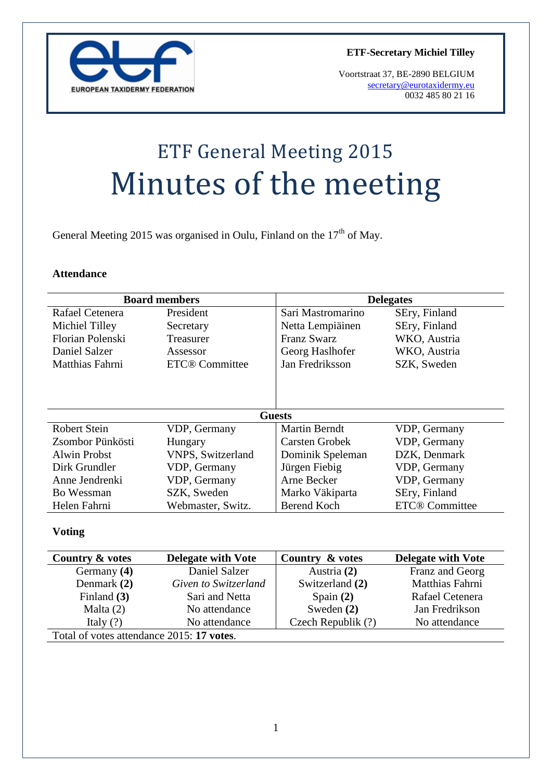

**ETF-Secretary Michiel Tilley**

Voortstraat 37, BE-2890 BELGIUM [secretary@eurotaxidermy.eu](mailto:secretary@eurotaxidermy.eu)  0032 485 80 21 16

# ETF General Meeting 2015 Minutes of the meeting

General Meeting 2015 was organised in Oulu, Finland on the  $17<sup>th</sup>$  of May.

#### **Attendance**

| <b>Board members</b> |                       | <b>Delegates</b>     |                       |
|----------------------|-----------------------|----------------------|-----------------------|
| Rafael Cetenera      | President             | Sari Mastromarino    | SEry, Finland         |
| Michiel Tilley       | Secretary             | Netta Lempiäinen     | SEry, Finland         |
| Florian Polenski     | Treasurer             | Franz Swarz          | WKO, Austria          |
| Daniel Salzer        | Assessor              | Georg Haslhofer      | WKO, Austria          |
| Matthias Fahrni      | <b>ETC®</b> Committee | Jan Fredriksson      | SZK, Sweden           |
|                      |                       | <b>Guests</b>        |                       |
| Robert Stein         | VDP, Germany          | <b>Martin Berndt</b> | VDP, Germany          |
| Zsombor Pünkösti     | Hungary               | Carsten Grobek       | VDP, Germany          |
| Alwin Probst         | VNPS, Switzerland     | Dominik Speleman     | DZK, Denmark          |
| Dirk Grundler        | VDP, Germany          | Jürgen Fiebig        | VDP, Germany          |
| Anne Jendrenki       | VDP, Germany          | Arne Becker          | VDP, Germany          |
| Bo Wessman           | SZK, Sweden           | Marko Väkiparta      | SEry, Finland         |
| Helen Fahrni         | Webmaster, Switz.     | <b>Berend Koch</b>   | <b>ETC®</b> Committee |

#### **Voting**

| Country & votes                           | <b>Delegate with Vote</b> | Country & votes    | <b>Delegate with Vote</b> |  |
|-------------------------------------------|---------------------------|--------------------|---------------------------|--|
| Germany (4)                               | Daniel Salzer             | Austria (2)        | Franz and Georg           |  |
| Denmark (2)                               | Given to Switzerland      | Switzerland (2)    | Matthias Fahrni           |  |
| Finland $(3)$                             | Sari and Netta            | Spain $(2)$        | Rafael Cetenera           |  |
| Malta $(2)$                               | No attendance             | Sweden $(2)$       | Jan Fredrikson            |  |
| Italy $(?)$                               | No attendance             | Czech Republik (?) | No attendance             |  |
| Total of votes attendance 2015: 17 votes. |                           |                    |                           |  |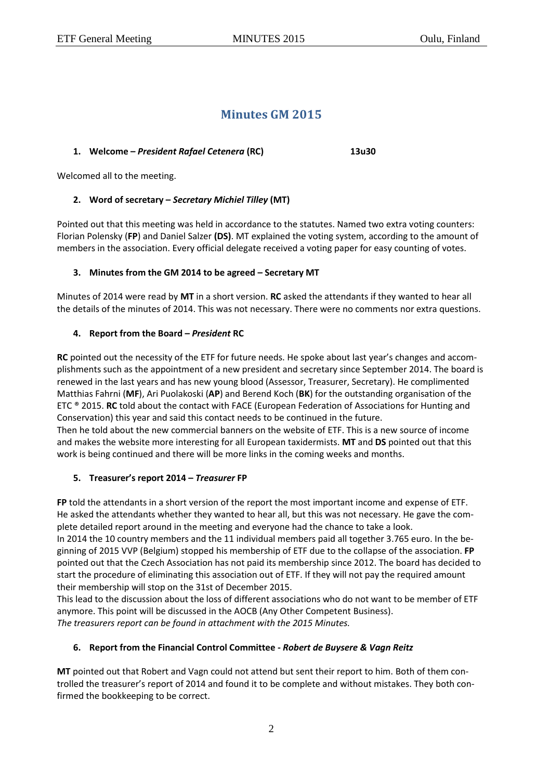# **Minutes GM 2015**

#### **1. Welcome –** *President Rafael Cetenera* **(RC) 13u30**

Welcomed all to the meeting.

## **2. Word of secretary –** *Secretary Michiel Tilley* **(MT)**

Pointed out that this meeting was held in accordance to the statutes. Named two extra voting counters: Florian Polensky (**FP**) and Daniel Salzer **(DS)**. MT explained the voting system, according to the amount of members in the association. Every official delegate received a voting paper for easy counting of votes.

## **3. Minutes from the GM 2014 to be agreed – Secretary MT**

Minutes of 2014 were read by **MT** in a short version. **RC** asked the attendants if they wanted to hear all the details of the minutes of 2014. This was not necessary. There were no comments nor extra questions.

## **4. Report from the Board –** *President* **RC**

**RC** pointed out the necessity of the ETF for future needs. He spoke about last year's changes and accomplishments such as the appointment of a new president and secretary since September 2014. The board is renewed in the last years and has new young blood (Assessor, Treasurer, Secretary). He complimented Matthias Fahrni (**MF**), Ari Puolakoski (**AP**) and Berend Koch (**BK**) for the outstanding organisation of the ETC ® 2015. **RC** told about the contact with FACE (European Federation of Associations for Hunting and Conservation) this year and said this contact needs to be continued in the future.

Then he told about the new commercial banners on the website of ETF. This is a new source of income and makes the website more interesting for all European taxidermists. **MT** and **DS** pointed out that this work is being continued and there will be more links in the coming weeks and months.

## **5. Treasurer's report 2014 –** *Treasurer* **FP**

**FP** told the attendants in a short version of the report the most important income and expense of ETF. He asked the attendants whether they wanted to hear all, but this was not necessary. He gave the complete detailed report around in the meeting and everyone had the chance to take a look.

In 2014 the 10 country members and the 11 individual members paid all together 3.765 euro. In the beginning of 2015 VVP (Belgium) stopped his membership of ETF due to the collapse of the association. **FP** pointed out that the Czech Association has not paid its membership since 2012. The board has decided to start the procedure of eliminating this association out of ETF. If they will not pay the required amount their membership will stop on the 31st of December 2015.

This lead to the discussion about the loss of different associations who do not want to be member of ETF anymore. This point will be discussed in the AOCB (Any Other Competent Business). *The treasurers report can be found in attachment with the 2015 Minutes.*

## **6. Report from the Financial Control Committee -** *Robert de Buysere & Vagn Reitz*

**MT** pointed out that Robert and Vagn could not attend but sent their report to him. Both of them controlled the treasurer's report of 2014 and found it to be complete and without mistakes. They both confirmed the bookkeeping to be correct.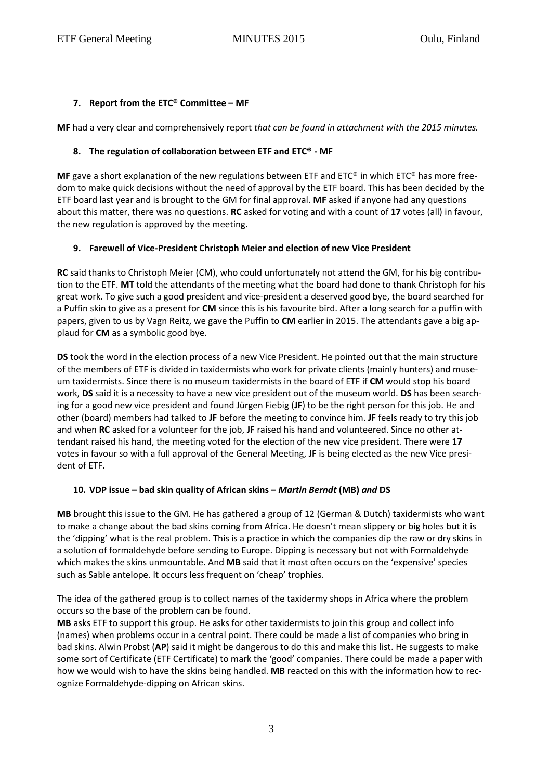#### **7. Report from the ETC® Committee – MF**

**MF** had a very clear and comprehensively report *that can be found in attachment with the 2015 minutes.*

#### **8. The regulation of collaboration between ETF and ETC® - MF**

**MF** gave a short explanation of the new regulations between ETF and ETC® in which ETC® has more freedom to make quick decisions without the need of approval by the ETF board. This has been decided by the ETF board last year and is brought to the GM for final approval. **MF** asked if anyone had any questions about this matter, there was no questions. **RC** asked for voting and with a count of **17** votes (all) in favour, the new regulation is approved by the meeting.

## **9. Farewell of Vice-President Christoph Meier and election of new Vice President**

**RC** said thanks to Christoph Meier (CM), who could unfortunately not attend the GM, for his big contribution to the ETF. **MT** told the attendants of the meeting what the board had done to thank Christoph for his great work. To give such a good president and vice-president a deserved good bye, the board searched for a Puffin skin to give as a present for **CM** since this is his favourite bird. After a long search for a puffin with papers, given to us by Vagn Reitz, we gave the Puffin to **CM** earlier in 2015. The attendants gave a big applaud for **CM** as a symbolic good bye.

**DS** took the word in the election process of a new Vice President. He pointed out that the main structure of the members of ETF is divided in taxidermists who work for private clients (mainly hunters) and museum taxidermists. Since there is no museum taxidermists in the board of ETF if **CM** would stop his board work, **DS** said it is a necessity to have a new vice president out of the museum world. **DS** has been searching for a good new vice president and found Jürgen Fiebig (**JF**) to be the right person for this job. He and other (board) members had talked to **JF** before the meeting to convince him. **JF** feels ready to try this job and when **RC** asked for a volunteer for the job, **JF** raised his hand and volunteered. Since no other attendant raised his hand, the meeting voted for the election of the new vice president. There were **17** votes in favour so with a full approval of the General Meeting, **JF** is being elected as the new Vice president of ETF.

#### **10. VDP issue – bad skin quality of African skins –** *Martin Berndt* **(MB)** *and* **DS**

**MB** brought this issue to the GM. He has gathered a group of 12 (German & Dutch) taxidermists who want to make a change about the bad skins coming from Africa. He doesn't mean slippery or big holes but it is the 'dipping' what is the real problem. This is a practice in which the companies dip the raw or dry skins in a solution of formaldehyde before sending to Europe. Dipping is necessary but not with Formaldehyde which makes the skins unmountable. And **MB** said that it most often occurs on the 'expensive' species such as Sable antelope. It occurs less frequent on 'cheap' trophies.

The idea of the gathered group is to collect names of the taxidermy shops in Africa where the problem occurs so the base of the problem can be found.

**MB** asks ETF to support this group. He asks for other taxidermists to join this group and collect info (names) when problems occur in a central point. There could be made a list of companies who bring in bad skins. Alwin Probst (**AP**) said it might be dangerous to do this and make this list. He suggests to make some sort of Certificate (ETF Certificate) to mark the 'good' companies. There could be made a paper with how we would wish to have the skins being handled. **MB** reacted on this with the information how to recognize Formaldehyde-dipping on African skins.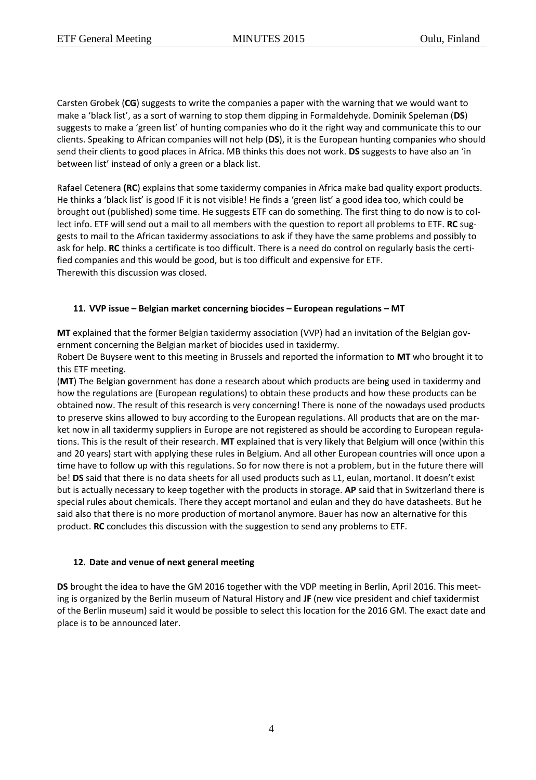Carsten Grobek (**CG**) suggests to write the companies a paper with the warning that we would want to make a 'black list', as a sort of warning to stop them dipping in Formaldehyde. Dominik Speleman (**DS**) suggests to make a 'green list' of hunting companies who do it the right way and communicate this to our clients. Speaking to African companies will not help (**DS**), it is the European hunting companies who should send their clients to good places in Africa. MB thinks this does not work. **DS** suggests to have also an 'in between list' instead of only a green or a black list.

Rafael Cetenera **(RC**) explains that some taxidermy companies in Africa make bad quality export products. He thinks a 'black list' is good IF it is not visible! He finds a 'green list' a good idea too, which could be brought out (published) some time. He suggests ETF can do something. The first thing to do now is to collect info. ETF will send out a mail to all members with the question to report all problems to ETF. **RC** suggests to mail to the African taxidermy associations to ask if they have the same problems and possibly to ask for help. **RC** thinks a certificate is too difficult. There is a need do control on regularly basis the certified companies and this would be good, but is too difficult and expensive for ETF. Therewith this discussion was closed.

# **11. VVP issue – Belgian market concerning biocides – European regulations – MT**

**MT** explained that the former Belgian taxidermy association (VVP) had an invitation of the Belgian government concerning the Belgian market of biocides used in taxidermy.

Robert De Buysere went to this meeting in Brussels and reported the information to **MT** who brought it to this ETF meeting.

(**MT**) The Belgian government has done a research about which products are being used in taxidermy and how the regulations are (European regulations) to obtain these products and how these products can be obtained now. The result of this research is very concerning! There is none of the nowadays used products to preserve skins allowed to buy according to the European regulations. All products that are on the market now in all taxidermy suppliers in Europe are not registered as should be according to European regulations. This is the result of their research. **MT** explained that is very likely that Belgium will once (within this and 20 years) start with applying these rules in Belgium. And all other European countries will once upon a time have to follow up with this regulations. So for now there is not a problem, but in the future there will be! **DS** said that there is no data sheets for all used products such as L1, eulan, mortanol. It doesn't exist but is actually necessary to keep together with the products in storage. **AP** said that in Switzerland there is special rules about chemicals. There they accept mortanol and eulan and they do have datasheets. But he said also that there is no more production of mortanol anymore. Bauer has now an alternative for this product. **RC** concludes this discussion with the suggestion to send any problems to ETF.

## **12. Date and venue of next general meeting**

**DS** brought the idea to have the GM 2016 together with the VDP meeting in Berlin, April 2016. This meeting is organized by the Berlin museum of Natural History and **JF** (new vice president and chief taxidermist of the Berlin museum) said it would be possible to select this location for the 2016 GM. The exact date and place is to be announced later.